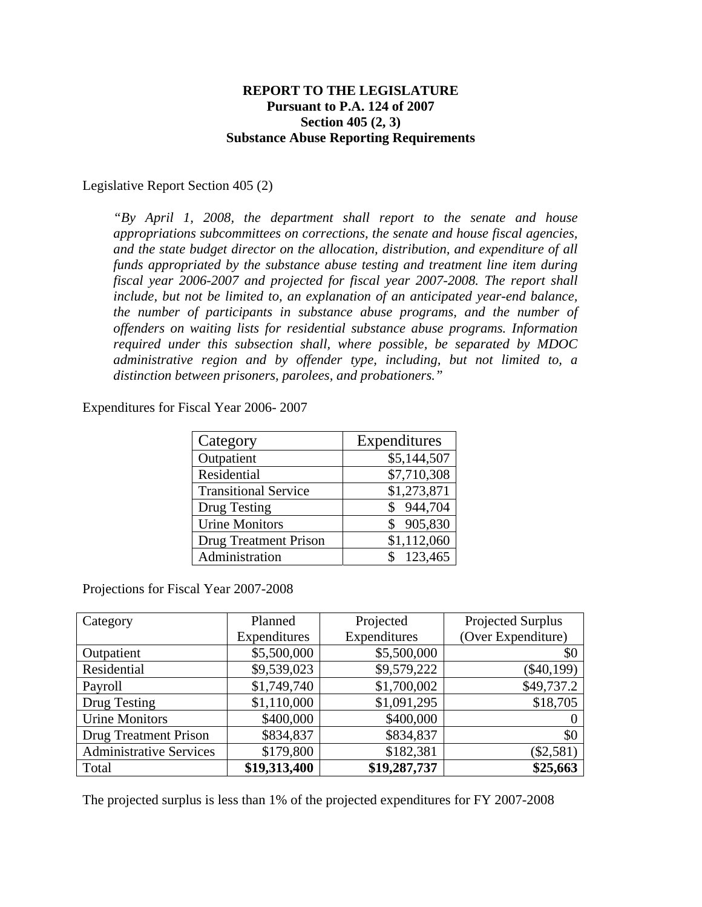## **REPORT TO THE LEGISLATURE Pursuant to P.A. 124 of 2007 Section 405 (2, 3) Substance Abuse Reporting Requirements**

#### Legislative Report Section 405 (2)

*"By April 1, 2008, the department shall report to the senate and house appropriations subcommittees on corrections, the senate and house fiscal agencies, and the state budget director on the allocation, distribution, and expenditure of all funds appropriated by the substance abuse testing and treatment line item during fiscal year 2006-2007 and projected for fiscal year 2007-2008. The report shall include, but not be limited to, an explanation of an anticipated year-end balance, the number of participants in substance abuse programs, and the number of offenders on waiting lists for residential substance abuse programs. Information required under this subsection shall, where possible, be separated by MDOC administrative region and by offender type, including, but not limited to, a distinction between prisoners, parolees, and probationers."* 

Expenditures for Fiscal Year 2006- 2007

| Category                     | Expenditures  |
|------------------------------|---------------|
| Outpatient                   | \$5,144,507   |
| Residential                  | \$7,710,308   |
| <b>Transitional Service</b>  | \$1,273,871   |
| Drug Testing                 | 944,704<br>\$ |
| <b>Urine Monitors</b>        | 905,830<br>S  |
| <b>Drug Treatment Prison</b> | \$1,112,060   |
| Administration               | \$123,465     |

Projections for Fiscal Year 2007-2008

| Category                       | Planned      | Projected    | Projected Surplus  |
|--------------------------------|--------------|--------------|--------------------|
|                                | Expenditures | Expenditures | (Over Expenditure) |
| Outpatient                     | \$5,500,000  | \$5,500,000  | \$0                |
| Residential                    | \$9,539,023  | \$9,579,222  | $(\$40,199)$       |
| Payroll                        | \$1,749,740  | \$1,700,002  | \$49,737.2         |
| Drug Testing                   | \$1,110,000  | \$1,091,295  | \$18,705           |
| <b>Urine Monitors</b>          | \$400,000    | \$400,000    |                    |
| <b>Drug Treatment Prison</b>   | \$834,837    | \$834,837    | \$0                |
| <b>Administrative Services</b> | \$179,800    | \$182,381    | $(\$2,581)$        |
| Total                          | \$19,313,400 | \$19,287,737 | \$25,663           |

The projected surplus is less than 1% of the projected expenditures for FY 2007-2008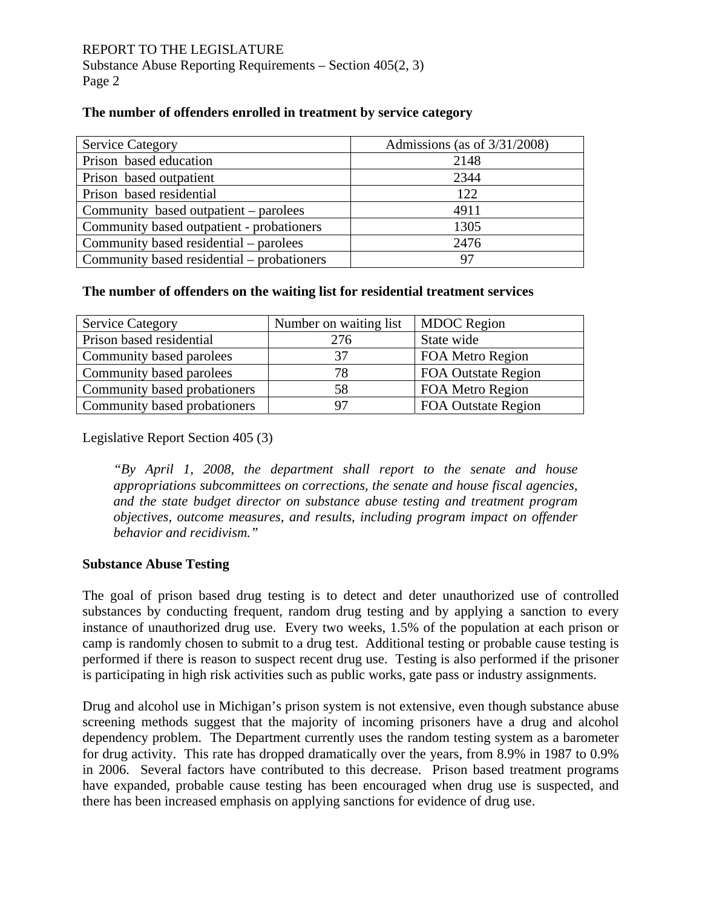## **The number of offenders enrolled in treatment by service category**

| <b>Service Category</b>                    | Admissions (as of $3/31/2008$ ) |
|--------------------------------------------|---------------------------------|
| Prison based education                     | 2148                            |
| Prison based outpatient                    | 2344                            |
| Prison based residential                   | 122                             |
| Community based outpatient – parolees      | 4911                            |
| Community based outpatient - probationers  | 1305                            |
| Community based residential – parolees     | 2476                            |
| Community based residential – probationers | 97                              |

### **The number of offenders on the waiting list for residential treatment services**

| <b>Service Category</b>      | Number on waiting list | <b>MDOC</b> Region         |
|------------------------------|------------------------|----------------------------|
| Prison based residential     | 276                    | State wide                 |
| Community based parolees     | 37                     | FOA Metro Region           |
| Community based parolees     | 78                     | <b>FOA Outstate Region</b> |
| Community based probationers | 58                     | FOA Metro Region           |
| Community based probationers | 97                     | <b>FOA Outstate Region</b> |

Legislative Report Section 405 (3)

*"By April 1, 2008, the department shall report to the senate and house appropriations subcommittees on corrections, the senate and house fiscal agencies, and the state budget director on substance abuse testing and treatment program objectives, outcome measures, and results, including program impact on offender behavior and recidivism."* 

## **Substance Abuse Testing**

The goal of prison based drug testing is to detect and deter unauthorized use of controlled substances by conducting frequent, random drug testing and by applying a sanction to every instance of unauthorized drug use. Every two weeks, 1.5% of the population at each prison or camp is randomly chosen to submit to a drug test. Additional testing or probable cause testing is performed if there is reason to suspect recent drug use. Testing is also performed if the prisoner is participating in high risk activities such as public works, gate pass or industry assignments.

Drug and alcohol use in Michigan's prison system is not extensive, even though substance abuse screening methods suggest that the majority of incoming prisoners have a drug and alcohol dependency problem. The Department currently uses the random testing system as a barometer for drug activity. This rate has dropped dramatically over the years, from 8.9% in 1987 to 0.9% in 2006. Several factors have contributed to this decrease. Prison based treatment programs have expanded, probable cause testing has been encouraged when drug use is suspected, and there has been increased emphasis on applying sanctions for evidence of drug use.